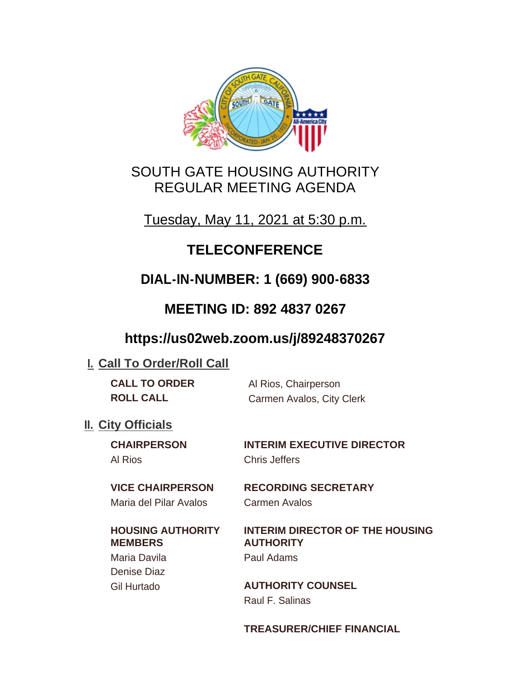

# SOUTH GATE HOUSING AUTHORITY REGULAR MEETING AGENDA

Tuesday, May 11, 2021 at 5:30 p.m.

# **TELECONFERENCE**

# **DIAL-IN-NUMBER: 1 (669) 900-6833**

# **MEETING ID: 892 4837 0267**

# **https://us02web.zoom.us/j/89248370267**

## **I. Call To Order/Roll Call**

| <b>CALL TO ORDER</b> | Al Rios, Chairperson      |
|----------------------|---------------------------|
| <b>ROLL CALL</b>     | Carmen Avalos, City Clerk |

## **II.** City Officials

Al Rios Chris Jeffers

**CHAIRPERSON INTERIM EXECUTIVE DIRECTOR**

Maria del Pilar Avalos Carmen Avalos

## **HOUSING AUTHORITY MEMBERS**

Maria Davila Paul Adams Denise Diaz

**VICE CHAIRPERSON RECORDING SECRETARY**

## **INTERIM DIRECTOR OF THE HOUSING AUTHORITY**

Gil Hurtado **AUTHORITY COUNSEL** Raul F. Salinas

### **TREASURER/CHIEF FINANCIAL**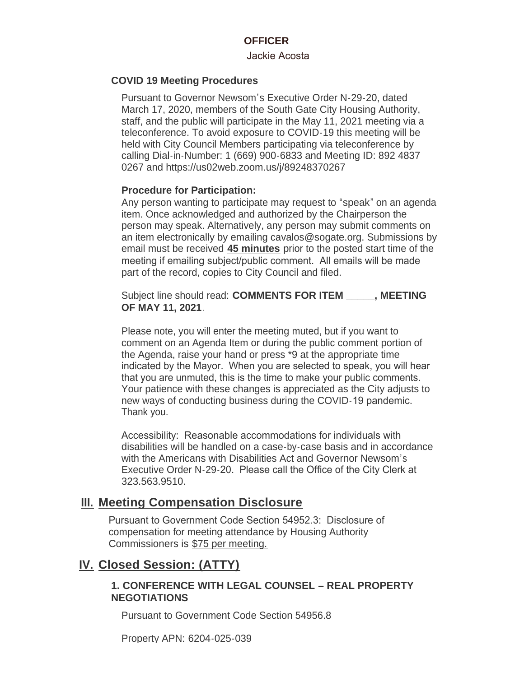#### **OFFICER**

#### Jackie Acosta

#### **COVID 19 Meeting Procedures**

Pursuant to Governor Newsom's Executive Order N-29-20, dated March 17, 2020, members of the South Gate City Housing Authority, staff, and the public will participate in the May 11, 2021 meeting via a teleconference. To avoid exposure to COVID-19 this meeting will be held with City Council Members participating via teleconference by calling Dial-in-Number: 1 (669) 900-6833 and Meeting ID: 892 4837 0267 and https://us02web.zoom.us/j/89248370267

#### **Procedure for Participation:**

Any person wanting to participate may request to "speak" on an agenda item. Once acknowledged and authorized by the Chairperson the person may speak. Alternatively, any person may submit comments on an item electronically by emailing cavalos@sogate.org. Submissions by email must be received **45 minutes** prior to the posted start time of the meeting if emailing subject/public comment. All emails will be made part of the record, copies to City Council and filed.

Subject line should read: **COMMENTS FOR ITEM \_\_\_\_\_, MEETING OF MAY 11, 2021**.

Please note, you will enter the meeting muted, but if you want to comment on an Agenda Item or during the public comment portion of the Agenda, raise your hand or press \*9 at the appropriate time indicated by the Mayor. When you are selected to speak, you will hear that you are unmuted, this is the time to make your public comments. Your patience with these changes is appreciated as the City adjusts to new ways of conducting business during the COVID-19 pandemic. Thank you.

Accessibility: Reasonable accommodations for individuals with disabilities will be handled on a case-by-case basis and in accordance with the Americans with Disabilities Act and Governor Newsom's Executive Order N-29-20. Please call the Office of the City Clerk at 323.563.9510.

### **Meeting Compensation Disclosure III.**

Pursuant to Government Code Section 54952.3: Disclosure of compensation for meeting attendance by Housing Authority Commissioners is \$75 per meeting.

### **Closed Session: (ATTY) IV.**

#### **1. CONFERENCE WITH LEGAL COUNSEL – REAL PROPERTY NEGOTIATIONS**

Pursuant to Government Code Section 54956.8

Property APN: 6204-025-039